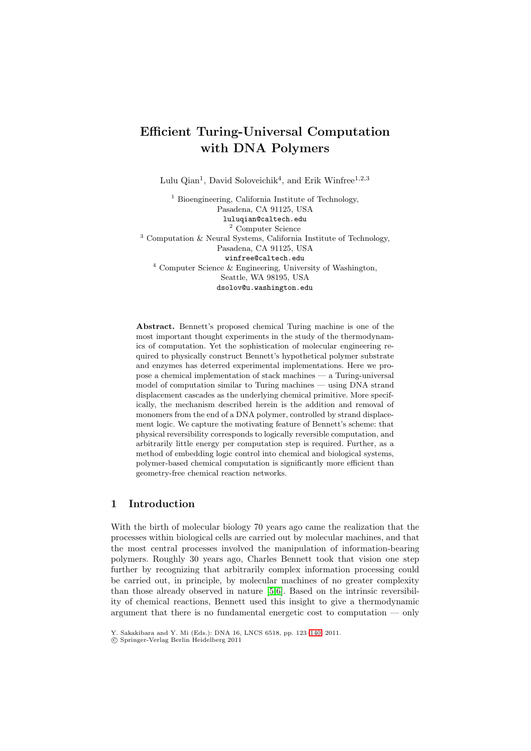# **Efficient Turing-Universal Computation with DNA Polymers**

Lulu  $\mathrm{Oian}^1$ , David Soloveichik<sup>4</sup>, and Erik Winfree<sup>1,2,3</sup>

 $<sup>1</sup>$  Bioengineering, California Institute of Technology,</sup> Pasadena, CA 91125, USA luluqian@caltech.edu <sup>2</sup> Computer Science <sup>3</sup> Computation & Neural Systems, California Institute of Technology, Pasadena, CA 91125, USA winfree@caltech.edu <sup>4</sup> Computer Science & Engineering, University of Washington, Seattle, WA 98195, USA dsolov@u.washington.edu

**Abstract.** Bennett's proposed chemical Turing machine is one of the most important thought experiments in the study of the thermodynamics of computation. Yet the sophistication of molecular engineering required to physically construct Bennett's hypothetical polymer substrate and enzymes has deterred experimental implementations. Here we propose a chemical implementation of stack machines — a Turing-universal model of computation similar to Turing machines — using DNA strand displacement cascades as the underlying chemical primitive. More specifically, the mechanism described herein is the addition and removal of monomers from the end of a DNA polymer, controlled by strand displacement logic. We capture the motivating feature of Bennett's scheme: that physical reversibility corresponds to logically reversible computation, and arbitrarily little energy per computation step is required. Further, as a method of embedding logic control into chemical and biological systems, polymer-based chemical computation is significantly more efficient than geometry-free chemical reaction networks.

## **1 Introduction**

With the birth of molecular biology 70 years ago came the realization that the processes within biological cells are carried out by molecular machines, and that the most central processes involved the manipulation of information-bearing polymers. Roughly 30 years ago, Charles Bennett took that vision one step further by recognizing that arbitrarily complex information processing could be carried out, in principle, by molecular machines of no greater complexity than those already observed in nature [\[5,](#page-16-0)[6\]](#page-16-1). Based on the intrinsic reversibility of chemical reactions, Bennett used this insight to give a thermodynamic argument that there is no fundamental energetic cost to computation — only

Y. Sakakibara and Y. Mi (Eds.): DNA 16, LNCS 6518, pp. 123[–140,](#page-16-2) 2011.

<sup>-</sup>c Springer-Verlag Berlin Heidelberg 2011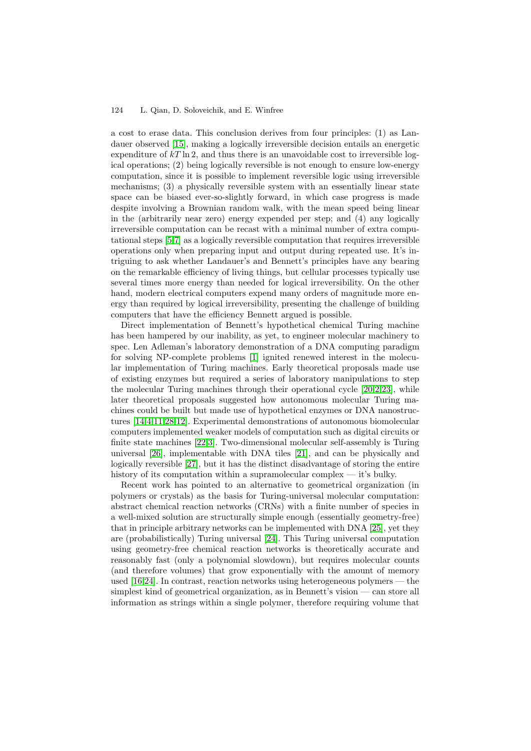a cost to erase data. This conclusion derives from four principles: (1) as Landauer observed [\[15\]](#page-17-0), making a logically irreversible decision entails an energetic expenditure of  $kT \ln 2$ , and thus there is an unavoidable cost to irreversible logical operations; (2) being logically reversible is not enough to ensure low-energy computation, since it is possible to implement reversible logic using irreversible mechanisms; (3) a physically reversible system with an essentially linear state space can be biased ever-so-slightly forward, in which case progress is made despite involving a Brownian random walk, with the mean speed being linear in the (arbitrarily near zero) energy expended per step; and (4) any logically irreversible computation can be recast with a minimal number of extra computational steps [\[5,](#page-16-0)[7\]](#page-16-3) as a logically reversible computation that requires irreversible operations only when preparing input and output during repeated use. It's intriguing to ask whether Landauer's and Bennett's principles have any bearing on the remarkable efficiency of living things, but cellular processes typically use several times more energy than needed for logical irreversibility. On the other hand, modern electrical computers expend many orders of magnitude more energy than required by logical irreversibility, presenting the challenge of building computers that have the efficiency Bennett argued is possible.

Direct implementation of Bennett's hypothetical chemical Turing machine has been hampered by our inability, as yet, to engineer molecular machinery to spec. Len Adleman's laboratory demonstration of a DNA computing paradigm for solving NP-complete problems [\[1\]](#page-16-4) ignited renewed interest in the molecular implementation of Turing machines. Early theoretical proposals made use of existing enzymes but required a series of laboratory manipulations to step the molecular Turing machines through their operational cycle [\[20](#page-17-1)[,2](#page-16-5)[,23\]](#page-17-2), while later theoretical proposals suggested how autonomous molecular Turing machines could be built but made use of hypothetical enzymes or DNA nanostructures [\[14,](#page-17-3)[4,](#page-16-6)[11](#page-16-7)[,28,](#page-17-4)[12\]](#page-16-8). Experimental demonstrations of autonomous biomolecular computers implemented weaker models of computation such as digital circuits or finite state machines [\[22](#page-17-5)[,3\]](#page-16-9). Two-dimensional molecular self-assembly is Turing universal [\[26\]](#page-17-6), implementable with DNA tiles [\[21\]](#page-17-7), and can be physically and logically reversible [\[27\]](#page-17-8), but it has the distinct disadvantage of storing the entire history of its computation within a supramolecular complex  $-$  it's bulky.

Recent work has pointed to an alternative to geometrical organization (in polymers or crystals) as the basis for Turing-universal molecular computation: abstract chemical reaction networks (CRNs) with a finite number of species in a well-mixed solution are structurally simple enough (essentially geometry-free) that in principle arbitrary networks can be implemented with DNA [\[25\]](#page-17-9), yet they are (probabilistically) Turing universal [\[24\]](#page-17-10). This Turing universal computation using geometry-free chemical reaction networks is theoretically accurate and reasonably fast (only a polynomial slowdown), but requires molecular counts (and therefore volumes) that grow exponentially with the amount of memory used [\[16](#page-17-11)[,24\]](#page-17-10). In contrast, reaction networks using heterogeneous polymers — the simplest kind of geometrical organization, as in Bennett's vision — can store all information as strings within a single polymer, therefore requiring volume that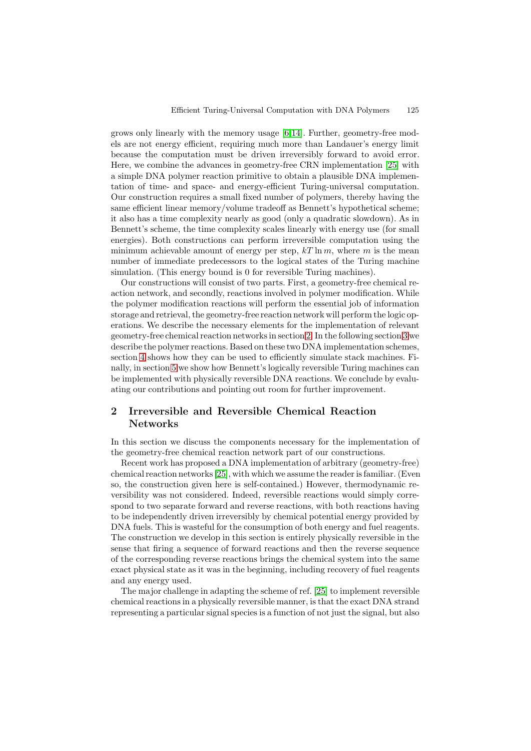grows only linearly with the memory usage [\[6](#page-16-1)[,14\]](#page-17-3). Further, geometry-free models are not energy efficient, requiring much more than Landauer's energy limit because the computation must be driven irreversibly forward to avoid error. Here, we combine the advances in geometry-free CRN implementation [\[25\]](#page-17-9) with a simple DNA polymer reaction primitive to obtain a plausible DNA implementation of time- and space- and energy-efficient Turing-universal computation. Our construction requires a small fixed number of polymers, thereby having the same efficient linear memory/volume tradeoff as Bennett's hypothetical scheme: it also has a time complexity nearly as good (only a quadratic slowdown). As in Bennett's scheme, the time complexity scales linearly with energy use (for small energies). Both constructions can perform irreversible computation using the minimum achievable amount of energy per step,  $kT \ln m$ , where m is the mean number of immediate predecessors to the logical states of the Turing machine simulation. (This energy bound is 0 for reversible Turing machines).

Our constructions will consist of two parts. First, a geometry-free chemical reaction network, and secondly, reactions involved in polymer modification. While the polymer modification reactions will perform the essential job of information storage and retrieval, the geometry-free reaction network will perform the logic operations. We describe the necessary elements for the implementation of relevant geometry-free chemical reaction networks in section [2.](#page-2-0) In the following section [3](#page-8-0) we describe the polymer reactions. Based on these two DNA implementation schemes, section [4](#page-9-0) shows how they can be used to efficiently simulate stack machines. Finally, in section [5](#page-13-0) we show how Bennett's logically reversible Turing machines can be implemented with physically reversible DNA reactions. We conclude by evaluating our contributions and pointing out room for further improvement.

## <span id="page-2-0"></span>**2 Irreversible and Reversible Chemical Reaction Networks**

In this section we discuss the components necessary for the implementation of the geometry-free chemical reaction network part of our constructions.

Recent work has proposed a DNA implementation of arbitrary (geometry-free) chemical reaction networks [\[25\]](#page-17-9), with which we assume the reader is familiar. (Even so, the construction given here is self-contained.) However, thermodynamic reversibility was not considered. Indeed, reversible reactions would simply correspond to two separate forward and reverse reactions, with both reactions having to be independently driven irreversibly by chemical potential energy provided by DNA fuels. This is wasteful for the consumption of both energy and fuel reagents. The construction we develop in this section is entirely physically reversible in the sense that firing a sequence of forward reactions and then the reverse sequence of the corresponding reverse reactions brings the chemical system into the same exact physical state as it was in the beginning, including recovery of fuel reagents and any energy used.

The major challenge in adapting the scheme of ref. [\[25\]](#page-17-9) to implement reversible chemical reactions in a physically reversible manner, is that the exact DNA strand representing a particular signal species is a function of not just the signal, but also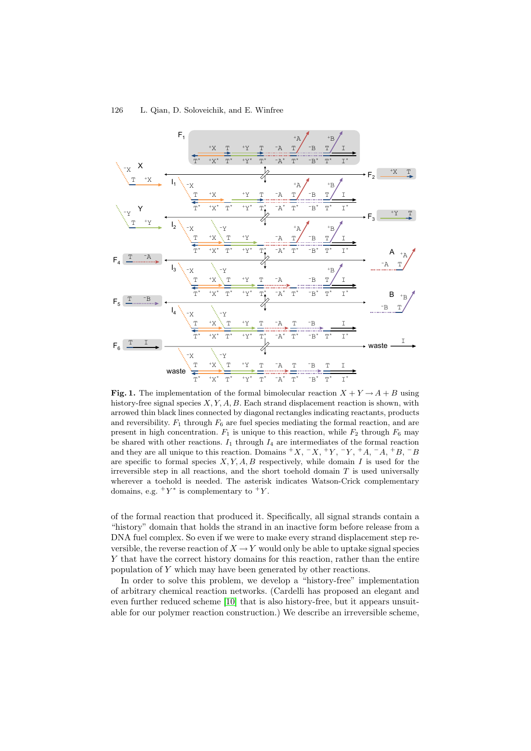<span id="page-3-0"></span>

**Fig. 1.** The implementation of the formal bimolecular reaction  $X + Y \rightarrow A + B$  using history-free signal species *X, Y, A, B.* Each strand displacement reaction is shown, with arrowed thin black lines connected by diagonal rectangles indicating reactants, products and reversibility.  $F_1$  through  $F_6$  are fuel species mediating the formal reaction, and are present in high concentration.  $F_1$  is unique to this reaction, while  $F_2$  through  $F_6$  may be shared with other reactions.  $I_1$  through  $I_4$  are intermediates of the formal reaction and they are all unique to this reaction. Domains  $^+X$ ,  $^-X$ ,  $^+Y$ ,  $^-Y$ ,  $^+A$ ,  $^-A$ ,  $^+B$ ,  $^-B$ are specific to formal species *X, Y, A, B* respectively, while domain *I* is used for the irreversible step in all reactions, and the short toehold domain *T* is used universally wherever a toehold is needed. The asterisk indicates Watson-Crick complementary domains, e.g.  $Y^*$  is complementary to  $Y$ .

of the formal reaction that produced it. Specifically, all signal strands contain a "history" domain that holds the strand in an inactive form before release from a DNA fuel complex. So even if we were to make every strand displacement step reversible, the reverse reaction of  $X \to Y$  would only be able to uptake signal species Y that have the correct history domains for this reaction, rather than the entire population of Y which may have been generated by other reactions.

In order to solve this problem, we develop a "history-free" implementation of arbitrary chemical reaction networks. (Cardelli has proposed an elegant and even further reduced scheme [\[10\]](#page-16-10) that is also history-free, but it appears unsuitable for our polymer reaction construction.) We describe an irreversible scheme,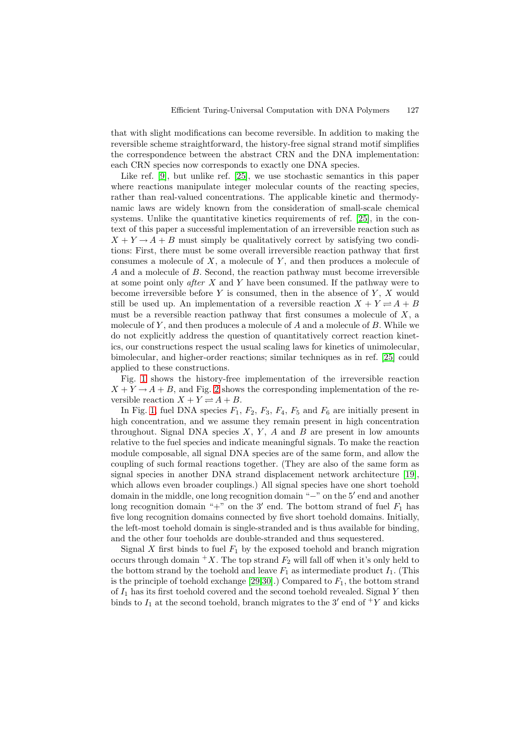that with slight modifications can become reversible. In addition to making the reversible scheme straightforward, the history-free signal strand motif simplifies the correspondence between the abstract CRN and the DNA implementation: each CRN species now corresponds to exactly one DNA species.

Like ref. [\[9\]](#page-16-11), but unlike ref. [\[25\]](#page-17-9), we use stochastic semantics in this paper where reactions manipulate integer molecular counts of the reacting species, rather than real-valued concentrations. The applicable kinetic and thermodynamic laws are widely known from the consideration of small-scale chemical systems. Unlike the quantitative kinetics requirements of ref. [\[25\]](#page-17-9), in the context of this paper a successful implementation of an irreversible reaction such as  $X + Y \rightarrow A + B$  must simply be qualitatively correct by satisfying two conditions: First, there must be some overall irreversible reaction pathway that first consumes a molecule of  $X$ , a molecule of  $Y$ , and then produces a molecule of A and a molecule of B. Second, the reaction pathway must become irreversible at some point only *after* X and Y have been consumed. If the pathway were to become irreversible before  $Y$  is consumed, then in the absence of  $Y$ ,  $X$  would still be used up. An implementation of a reversible reaction  $X + Y \rightleftharpoons A + B$ must be a reversible reaction pathway that first consumes a molecule of  $X$ , a molecule of  $Y$ , and then produces a molecule of  $A$  and a molecule of  $B$ . While we do not explicitly address the question of quantitatively correct reaction kinetics, our constructions respect the usual scaling laws for kinetics of unimolecular, bimolecular, and higher-order reactions; similar techniques as in ref. [\[25\]](#page-17-9) could applied to these constructions.

Fig. [1](#page-3-0) shows the history-free implementation of the irreversible reaction  $X + Y \rightarrow A + B$ , and Fig. [2](#page-5-0) shows the corresponding implementation of the reversible reaction  $X + Y \rightleftharpoons A + B$ .

In Fig. [1,](#page-3-0) fuel DNA species  $F_1$ ,  $F_2$ ,  $F_3$ ,  $F_4$ ,  $F_5$  and  $F_6$  are initially present in high concentration, and we assume they remain present in high concentration throughout. Signal DNA species  $X, Y, A$  and  $B$  are present in low amounts relative to the fuel species and indicate meaningful signals. To make the reaction module composable, all signal DNA species are of the same form, and allow the coupling of such formal reactions together. (They are also of the same form as signal species in another DNA strand displacement network architecture [\[19\]](#page-17-12), which allows even broader couplings.) All signal species have one short toehold domain in the middle, one long recognition domain "−" on the 5' end and another long recognition domain "+" on the 3' end. The bottom strand of fuel  $F_1$  has five long recognition domains connected by five short toehold domains. Initially, the left-most toehold domain is single-stranded and is thus available for binding, and the other four toeholds are double-stranded and thus sequestered.

Signal X first binds to fuel  $F_1$  by the exposed toehold and branch migration occurs through domain  $^+X$ . The top strand  $F_2$  will fall off when it's only held to the bottom strand by the toehold and leave  $F_1$  as intermediate product  $I_1$ . (This is the principle of toehold exchange  $[29,30]$  $[29,30]$ .) Compared to  $F_1$ , the bottom strand of  $I_1$  has its first toehold covered and the second toehold revealed. Signal Y then binds to  $I_1$  at the second toehold, branch migrates to the 3' end of <sup>+</sup>Y and kicks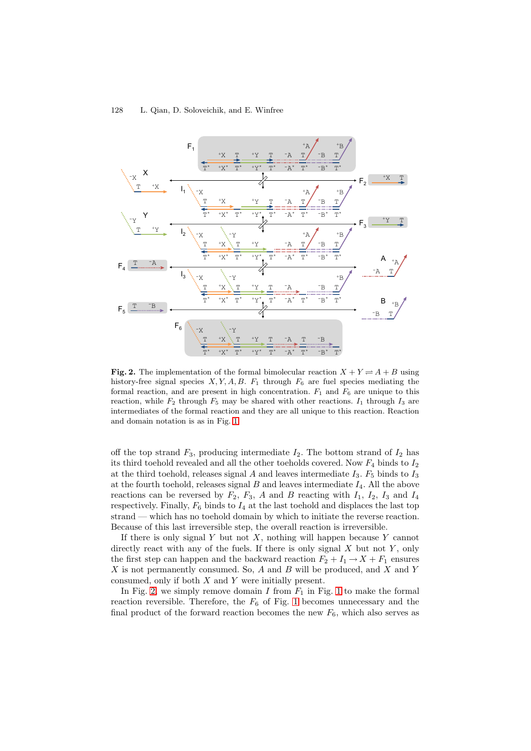<span id="page-5-0"></span>

**Fig. 2.** The implementation of the formal bimolecular reaction  $X + Y \rightleftharpoons A + B$  using history-free signal species  $X, Y, A, B$ .  $F_1$  through  $F_6$  are fuel species mediating the formal reaction, and are present in high concentration.  $F_1$  and  $F_6$  are unique to this reaction, while  $F_2$  through  $F_5$  may be shared with other reactions.  $I_1$  through  $I_3$  are intermediates of the formal reaction and they are all unique to this reaction. Reaction and domain notation is as in Fig. [1.](#page-3-0)

off the top strand  $F_3$ , producing intermediate  $I_2$ . The bottom strand of  $I_2$  has its third toehold revealed and all the other toeholds covered. Now  $F_4$  binds to  $I_2$ at the third toehold, releases signal A and leaves intermediate  $I_3$ .  $F_5$  binds to  $I_3$ at the fourth toehold, releases signal  $B$  and leaves intermediate  $I_4$ . All the above reactions can be reversed by  $F_2$ ,  $F_3$ , A and B reacting with  $I_1$ ,  $I_2$ ,  $I_3$  and  $I_4$ respectively. Finally,  $F_6$  binds to  $I_4$  at the last toehold and displaces the last top strand — which has no toehold domain by which to initiate the reverse reaction. Because of this last irreversible step, the overall reaction is irreversible.

If there is only signal Y but not X, nothing will happen because Y cannot directly react with any of the fuels. If there is only signal  $X$  but not  $Y$ , only the first step can happen and the backward reaction  $F_2 + I_1 \rightarrow X + F_1$  ensures  $X$  is not permanently consumed. So,  $A$  and  $B$  will be produced, and  $X$  and  $Y$ consumed, only if both  $X$  and  $Y$  were initially present.

In Fig. [2,](#page-5-0) we simply remove domain  $I$  from  $F_1$  in Fig. [1](#page-3-0) to make the formal reaction reversible. Therefore, the  $F_6$  of Fig. [1](#page-3-0) becomes unnecessary and the final product of the forward reaction becomes the new  $F_6$ , which also serves as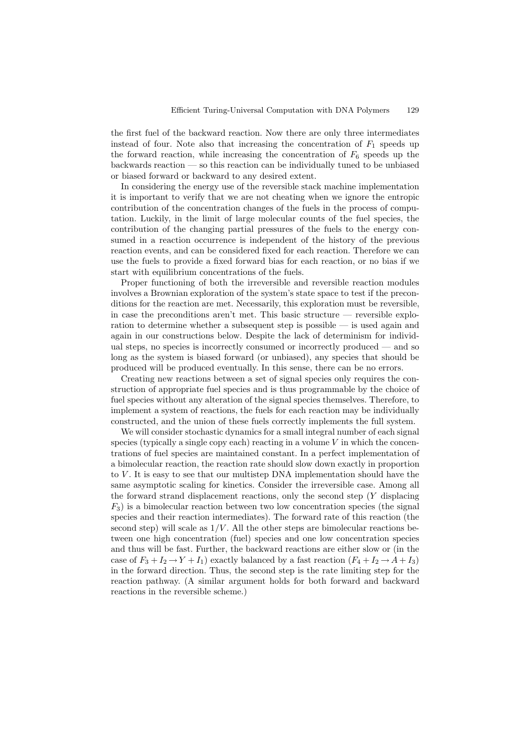the first fuel of the backward reaction. Now there are only three intermediates instead of four. Note also that increasing the concentration of  $F_1$  speeds up the forward reaction, while increasing the concentration of  $F_6$  speeds up the backwards reaction — so this reaction can be individually tuned to be unbiased or biased forward or backward to any desired extent.

In considering the energy use of the reversible stack machine implementation it is important to verify that we are not cheating when we ignore the entropic contribution of the concentration changes of the fuels in the process of computation. Luckily, in the limit of large molecular counts of the fuel species, the contribution of the changing partial pressures of the fuels to the energy consumed in a reaction occurrence is independent of the history of the previous reaction events, and can be considered fixed for each reaction. Therefore we can use the fuels to provide a fixed forward bias for each reaction, or no bias if we start with equilibrium concentrations of the fuels.

Proper functioning of both the irreversible and reversible reaction modules involves a Brownian exploration of the system's state space to test if the preconditions for the reaction are met. Necessarily, this exploration must be reversible, in case the preconditions aren't met. This basic structure — reversible exploration to determine whether a subsequent step is possible — is used again and again in our constructions below. Despite the lack of determinism for individual steps, no species is incorrectly consumed or incorrectly produced — and so long as the system is biased forward (or unbiased), any species that should be produced will be produced eventually. In this sense, there can be no errors.

Creating new reactions between a set of signal species only requires the construction of appropriate fuel species and is thus programmable by the choice of fuel species without any alteration of the signal species themselves. Therefore, to implement a system of reactions, the fuels for each reaction may be individually constructed, and the union of these fuels correctly implements the full system.

We will consider stochastic dynamics for a small integral number of each signal species (typically a single copy each) reacting in a volume  $V$  in which the concentrations of fuel species are maintained constant. In a perfect implementation of a bimolecular reaction, the reaction rate should slow down exactly in proportion to V. It is easy to see that our multistep DNA implementation should have the same asymptotic scaling for kinetics. Consider the irreversible case. Among all the forward strand displacement reactions, only the second step  $(Y$  displacing  $F_3$ ) is a bimolecular reaction between two low concentration species (the signal species and their reaction intermediates). The forward rate of this reaction (the second step) will scale as  $1/V$ . All the other steps are bimolecular reactions between one high concentration (fuel) species and one low concentration species and thus will be fast. Further, the backward reactions are either slow or (in the case of  $F_3 + I_2 \rightarrow Y + I_1$ ) exactly balanced by a fast reaction  $(F_4 + I_2 \rightarrow A + I_3)$ in the forward direction. Thus, the second step is the rate limiting step for the reaction pathway. (A similar argument holds for both forward and backward reactions in the reversible scheme.)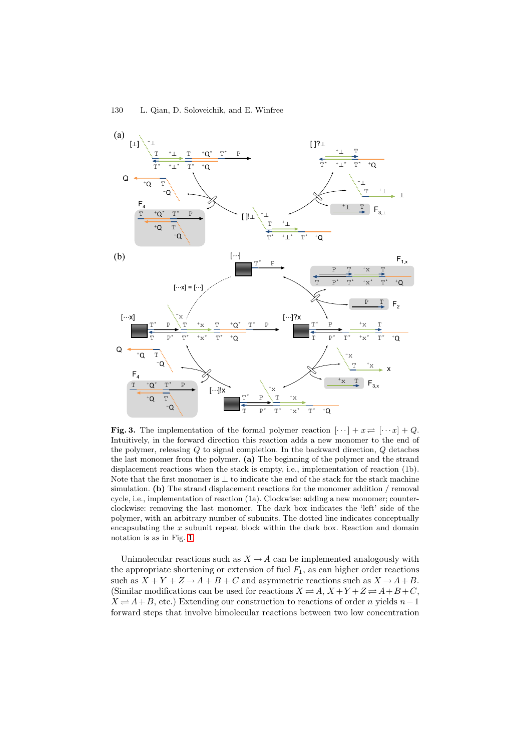<span id="page-7-0"></span>

**Fig. 3.** The implementation of the formal polymer reaction  $[\cdots] + x \rightleftharpoons [\cdots x] + Q$ . Intuitively, in the forward direction this reaction adds a new monomer to the end of the polymer, releasing *Q* to signal completion. In the backward direction, *Q* detaches the last monomer from the polymer. **(a)** The beginning of the polymer and the strand displacement reactions when the stack is empty, i.e., implementation of reaction (1b). Note that the first monomer is  $\perp$  to indicate the end of the stack for the stack machine simulation. **(b)** The strand displacement reactions for the monomer addition / removal cycle, i.e., implementation of reaction (1a). Clockwise: adding a new monomer; counterclockwise: removing the last monomer. The dark box indicates the 'left' side of the polymer, with an arbitrary number of subunits. The dotted line indicates conceptually encapsulating the *x* subunit repeat block within the dark box. Reaction and domain notation is as in Fig. [1.](#page-3-0)

Unimolecular reactions such as  $X \to A$  can be implemented analogously with the appropriate shortening or extension of fuel  $F_1$ , as can higher order reactions such as  $X + Y + Z \rightarrow A + B + C$  and asymmetric reactions such as  $X \rightarrow A + B$ . (Similar modifications can be used for reactions  $X \rightleftharpoons A, X + Y + Z \rightleftharpoons A + B + C$ ,  $X \rightleftharpoons A+B$ , etc.) Extending our construction to reactions of order n yields  $n-1$ forward steps that involve bimolecular reactions between two low concentration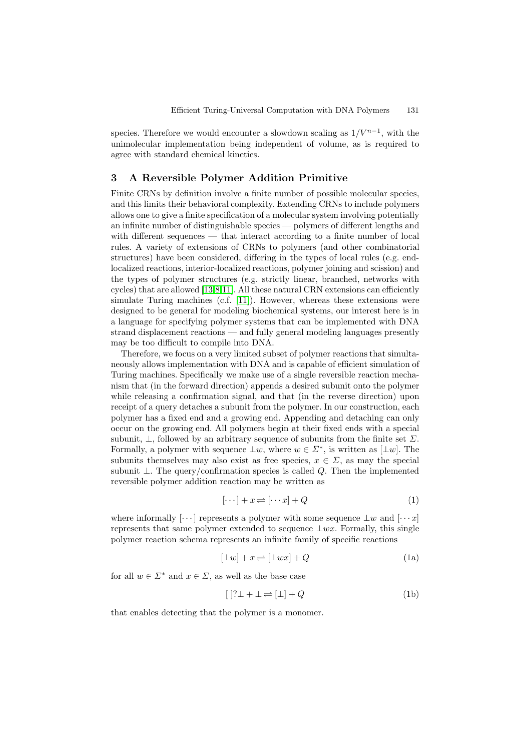species. Therefore we would encounter a slowdown scaling as  $1/V^{n-1}$ , with the unimolecular implementation being independent of volume, as is required to agree with standard chemical kinetics.

## <span id="page-8-0"></span>**3 A Reversible Polymer Addition Primitive**

Finite CRNs by definition involve a finite number of possible molecular species, and this limits their behavioral complexity. Extending CRNs to include polymers allows one to give a finite specification of a molecular system involving potentially an infinite number of distinguishable species — polymers of different lengths and with different sequences — that interact according to a finite number of local rules. A variety of extensions of CRNs to polymers (and other combinatorial structures) have been considered, differing in the types of local rules (e.g. endlocalized reactions, interior-localized reactions, polymer joining and scission) and the types of polymer structures (e.g. strictly linear, branched, networks with cycles) that are allowed [\[13,](#page-17-15)[8](#page-16-12)[,11\]](#page-16-7). All these natural CRN extensions can efficiently simulate Turing machines (c.f. [\[11\]](#page-16-7)). However, whereas these extensions were designed to be general for modeling biochemical systems, our interest here is in a language for specifying polymer systems that can be implemented with DNA strand displacement reactions — and fully general modeling languages presently may be too difficult to compile into DNA.

Therefore, we focus on a very limited subset of polymer reactions that simultaneously allows implementation with DNA and is capable of efficient simulation of Turing machines. Specifically we make use of a single reversible reaction mechanism that (in the forward direction) appends a desired subunit onto the polymer while releasing a confirmation signal, and that (in the reverse direction) upon receipt of a query detaches a subunit from the polymer. In our construction, each polymer has a fixed end and a growing end. Appending and detaching can only occur on the growing end. All polymers begin at their fixed ends with a special subunit,  $\bot$ , followed by an arbitrary sequence of subunits from the finite set  $\Sigma$ . Formally, a polymer with sequence  $\perp w$ , where  $w \in \Sigma^*$ , is written as  $[\perp w]$ . The subunits themselves may also exist as free species,  $x \in \Sigma$ , as may the special subunit  $\perp$ . The query/confirmation species is called Q. Then the implemented reversible polymer addition reaction may be written as

$$
[\cdots] + x \rightleftharpoons [\cdots x] + Q \tag{1}
$$

where informally  $[\cdots]$  represents a polymer with some sequence  $\perp w$  and  $[\cdots x]$ represents that same polymer extended to sequence  $\bot wx$ . Formally, this single polymer reaction schema represents an infinite family of specific reactions

$$
[\bot w] + x \rightleftharpoons [\bot wx] + Q \tag{1a}
$$

for all  $w \in \Sigma^*$  and  $x \in \Sigma$ , as well as the base case

$$
[ ]? \bot + \bot \rightleftharpoons [\bot] + Q \tag{1b}
$$

that enables detecting that the polymer is a monomer.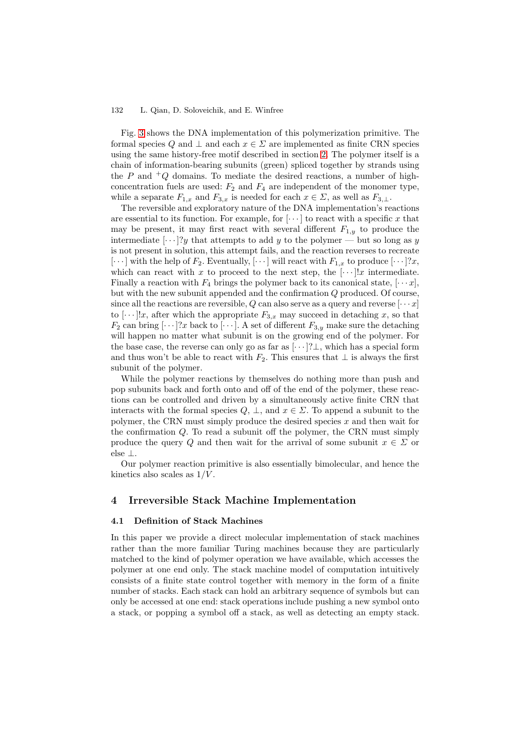Fig. [3](#page-7-0) shows the DNA implementation of this polymerization primitive. The formal species Q and  $\perp$  and each  $x \in \Sigma$  are implemented as finite CRN species using the same history-free motif described in section [2.](#page-2-0) The polymer itself is a chain of information-bearing subunits (green) spliced together by strands using the P and  $+Q$  domains. To mediate the desired reactions, a number of highconcentration fuels are used:  $F_2$  and  $F_4$  are independent of the monomer type, while a separate  $F_{1,x}$  and  $F_{3,x}$  is needed for each  $x \in \Sigma$ , as well as  $F_{3,\perp}$ .

The reversible and exploratory nature of the DNA implementation's reactions are essential to its function. For example, for  $[\cdots]$  to react with a specific x that may be present, it may first react with several different  $F_{1,y}$  to produce the intermediate  $[\cdots]$ ?y that attempts to add y to the polymer — but so long as y is not present in solution, this attempt fails, and the reaction reverses to recreate  $[\cdots]$  with the help of  $F_2$ . Eventually,  $[\cdots]$  will react with  $F_{1,x}$  to produce  $[\cdots]$ ?x, which can react with x to proceed to the next step, the  $[\cdots]x$  intermediate. Finally a reaction with  $F_4$  brings the polymer back to its canonical state,  $[\cdots x]$ , but with the new subunit appended and the confirmation Q produced. Of course, since all the reactions are reversible, Q can also serve as a query and reverse  $\left[\cdots x\right]$ to  $[\cdots]!x$ , after which the appropriate  $F_{3,x}$  may succeed in detaching x, so that  $F_2$  can bring  $[\cdots]$ ?x back to  $[\cdots]$ . A set of different  $F_{3,y}$  make sure the detaching will happen no matter what subunit is on the growing end of the polymer. For the base case, the reverse can only go as far as  $\lceil \cdots \rceil$ ? $\perp$ , which has a special form and thus won't be able to react with  $F_2$ . This ensures that  $\perp$  is always the first subunit of the polymer.

While the polymer reactions by themselves do nothing more than push and pop subunits back and forth onto and off of the end of the polymer, these reactions can be controlled and driven by a simultaneously active finite CRN that interacts with the formal species  $Q, \perp$ , and  $x \in \Sigma$ . To append a subunit to the polymer, the CRN must simply produce the desired species  $x$  and then wait for the confirmation  $Q$ . To read a subunit off the polymer, the CRN must simply produce the query Q and then wait for the arrival of some subunit  $x \in \Sigma$  or else ⊥.

Our polymer reaction primitive is also essentially bimolecular, and hence the kinetics also scales as  $1/V$ .

### <span id="page-9-0"></span>**4 Irreversible Stack Machine Implementation**

## **4.1 Definition of Stack Machines**

In this paper we provide a direct molecular implementation of stack machines rather than the more familiar Turing machines because they are particularly matched to the kind of polymer operation we have available, which accesses the polymer at one end only. The stack machine model of computation intuitively consists of a finite state control together with memory in the form of a finite number of stacks. Each stack can hold an arbitrary sequence of symbols but can only be accessed at one end: stack operations include pushing a new symbol onto a stack, or popping a symbol off a stack, as well as detecting an empty stack.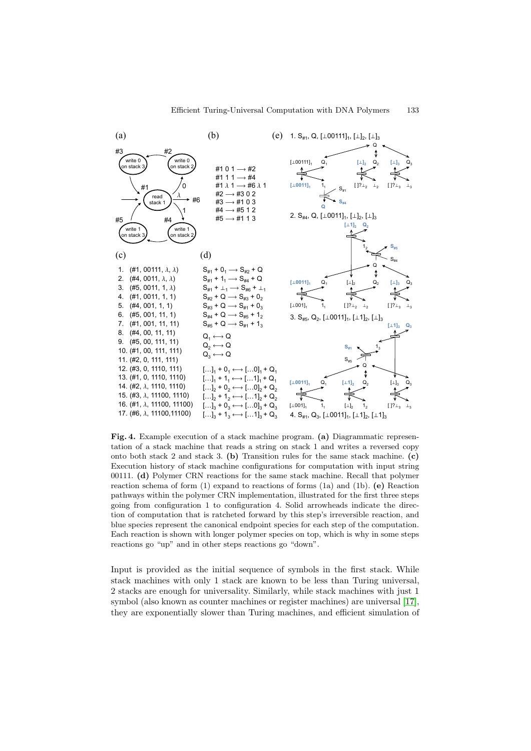<span id="page-10-0"></span>

**Fig. 4.** Example execution of a stack machine program. **(a)** Diagrammatic representation of a stack machine that reads a string on stack 1 and writes a reversed copy onto both stack 2 and stack 3. **(b)** Transition rules for the same stack machine. **(c)** Execution history of stack machine configurations for computation with input string 00111. **(d)** Polymer CRN reactions for the same stack machine. Recall that polymer reaction schema of form (1) expand to reactions of forms (1a) and (1b). **(e)** Reaction pathways within the polymer CRN implementation, illustrated for the first three steps going from configuration 1 to configuration 4. Solid arrowheads indicate the direction of computation that is ratcheted forward by this step's irreversible reaction, and blue species represent the canonical endpoint species for each step of the computation. Each reaction is shown with longer polymer species on top, which is why in some steps reactions go "up" and in other steps reactions go "down".

Input is provided as the initial sequence of symbols in the first stack. While stack machines with only 1 stack are known to be less than Turing universal, 2 stacks are enough for universality. Similarly, while stack machines with just 1 symbol (also known as counter machines or register machines) are universal [\[17\]](#page-17-16), they are exponentially slower than Turing machines, and efficient simulation of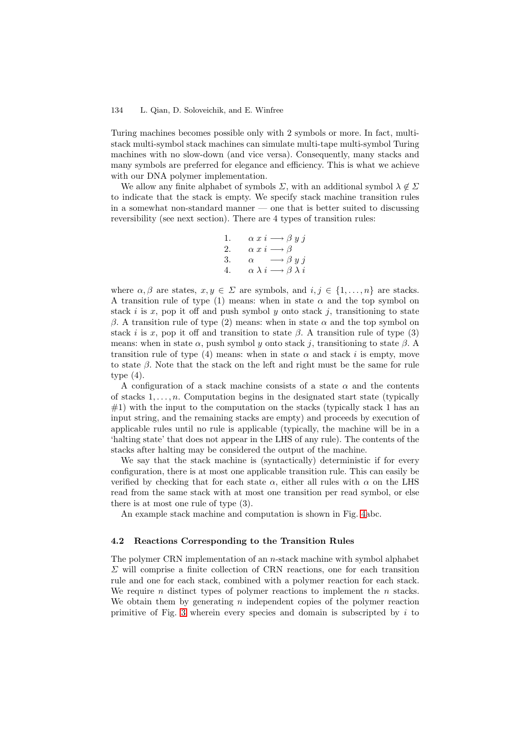Turing machines becomes possible only with 2 symbols or more. In fact, multistack multi-symbol stack machines can simulate multi-tape multi-symbol Turing machines with no slow-down (and vice versa). Consequently, many stacks and many symbols are preferred for elegance and efficiency. This is what we achieve with our DNA polymer implementation.

We allow any finite alphabet of symbols  $\Sigma$ , with an additional symbol  $\lambda \notin \Sigma$ to indicate that the stack is empty. We specify stack machine transition rules in a somewhat non-standard manner — one that is better suited to discussing reversibility (see next section). There are 4 types of transition rules:

1. 
$$
\alpha x i \longrightarrow \beta y j
$$
  
\n2. 
$$
\alpha x i \longrightarrow \beta
$$
  
\n3. 
$$
\alpha \longrightarrow \beta y j
$$
  
\n4. 
$$
\alpha \lambda i \longrightarrow \beta \lambda i
$$

where  $\alpha, \beta$  are states,  $x, y \in \Sigma$  are symbols, and  $i, j \in \{1, ..., n\}$  are stacks. A transition rule of type (1) means: when in state  $\alpha$  and the top symbol on stack i is x, pop it off and push symbol y onto stack j, transitioning to state β. A transition rule of type (2) means: when in state  $\alpha$  and the top symbol on stack i is x, pop it off and transition to state  $\beta$ . A transition rule of type (3) means: when in state  $\alpha$ , push symbol y onto stack j, transitioning to state  $\beta$ . A transition rule of type (4) means: when in state  $\alpha$  and stack i is empty, move to state  $\beta$ . Note that the stack on the left and right must be the same for rule type (4).

A configuration of a stack machine consists of a state  $\alpha$  and the contents of stacks  $1, \ldots, n$ . Computation begins in the designated start state (typically  $#1$ ) with the input to the computation on the stacks (typically stack 1 has an input string, and the remaining stacks are empty) and proceeds by execution of applicable rules until no rule is applicable (typically, the machine will be in a 'halting state' that does not appear in the LHS of any rule). The contents of the stacks after halting may be considered the output of the machine.

We say that the stack machine is (syntactically) deterministic if for every configuration, there is at most one applicable transition rule. This can easily be verified by checking that for each state  $\alpha$ , either all rules with  $\alpha$  on the LHS read from the same stack with at most one transition per read symbol, or else there is at most one rule of type (3).

An example stack machine and computation is shown in Fig. [4a](#page-10-0)bc.

## **4.2 Reactions Corresponding to the Transition Rules**

The polymer CRN implementation of an  $n$ -stack machine with symbol alphabet  $\Sigma$  will comprise a finite collection of CRN reactions, one for each transition rule and one for each stack, combined with a polymer reaction for each stack. We require n distinct types of polymer reactions to implement the  $n$  stacks. We obtain them by generating  $n$  independent copies of the polymer reaction primitive of Fig. [3](#page-7-0) wherein every species and domain is subscripted by  $i$  to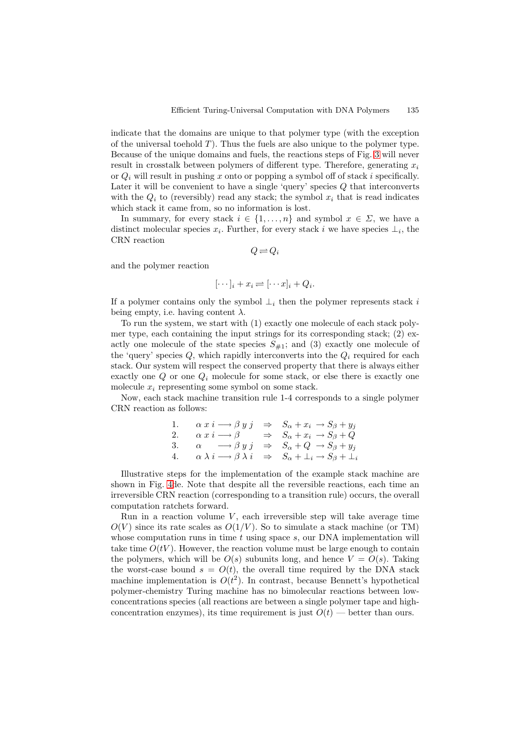indicate that the domains are unique to that polymer type (with the exception of the universal toehold  $T$ ). Thus the fuels are also unique to the polymer type. Because of the unique domains and fuels, the reactions steps of Fig. [3](#page-7-0) will never result in crosstalk between polymers of different type. Therefore, generating  $x_i$ or  $Q_i$  will result in pushing x onto or popping a symbol off of stack i specifically. Later it will be convenient to have a single 'query' species  $Q$  that interconverts with the  $Q_i$  to (reversibly) read any stack; the symbol  $x_i$  that is read indicates which stack it came from, so no information is lost.

In summary, for every stack  $i \in \{1, ..., n\}$  and symbol  $x \in \Sigma$ , we have a distinct molecular species  $x_i$ . Further, for every stack i we have species  $\perp_i$ , the CRN reaction

$$
Q \rightleftharpoons Q_i
$$

and the polymer reaction

$$
[\cdots]_i + x_i \rightleftharpoons [\cdots x]_i + Q_i.
$$

If a polymer contains only the symbol  $\perp_i$  then the polymer represents stack i being empty, i.e. having content  $\lambda$ .

To run the system, we start with (1) exactly one molecule of each stack polymer type, each containing the input strings for its corresponding stack; (2) exactly one molecule of the state species  $S_{\#1}$ ; and (3) exactly one molecule of the 'query' species  $Q$ , which rapidly interconverts into the  $Q_i$  required for each stack. Our system will respect the conserved property that there is always either exactly one  $Q$  or one  $Q_i$  molecule for some stack, or else there is exactly one molecule  $x_i$  representing some symbol on some stack.

Now, each stack machine transition rule 1-4 corresponds to a single polymer CRN reaction as follows:

|  | 1. $\alpha x i \longrightarrow \beta y j \Rightarrow S_{\alpha} + x_i \rightarrow S_{\beta} + y_j$                   |
|--|----------------------------------------------------------------------------------------------------------------------|
|  | 2. $\alpha x i \longrightarrow \beta \Rightarrow S_{\alpha} + x_i \rightarrow S_{\beta} + Q$                         |
|  | 3. $\alpha \longrightarrow \beta y j \Rightarrow S_{\alpha} + Q \rightarrow S_{\beta} + y_j$                         |
|  | 4. $\alpha \lambda i \longrightarrow \beta \lambda i \Rightarrow S_{\alpha} + \bot_i \rightarrow S_{\beta} + \bot_i$ |

Illustrative steps for the implementation of the example stack machine are shown in Fig. [4d](#page-10-0)e. Note that despite all the reversible reactions, each time an irreversible CRN reaction (corresponding to a transition rule) occurs, the overall computation ratchets forward.

Run in a reaction volume  $V$ , each irreversible step will take average time  $O(V)$  since its rate scales as  $O(1/V)$ . So to simulate a stack machine (or TM) whose computation runs in time  $t$  using space  $s$ , our DNA implementation will take time  $O(tV)$ . However, the reaction volume must be large enough to contain the polymers, which will be  $O(s)$  subunits long, and hence  $V = O(s)$ . Taking the worst-case bound  $s = O(t)$ , the overall time required by the DNA stack machine implementation is  $O(t^2)$ . In contrast, because Bennett's hypothetical polymer-chemistry Turing machine has no bimolecular reactions between lowconcentrations species (all reactions are between a single polymer tape and highconcentration enzymes), its time requirement is just  $O(t)$  — better than ours.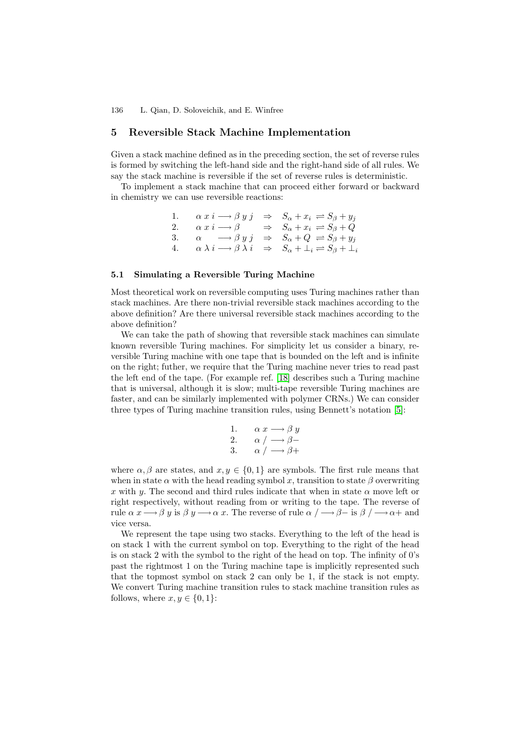## <span id="page-13-0"></span>**5 Reversible Stack Machine Implementation**

Given a stack machine defined as in the preceding section, the set of reverse rules is formed by switching the left-hand side and the right-hand side of all rules. We say the stack machine is reversible if the set of reverse rules is deterministic.

To implement a stack machine that can proceed either forward or backward in chemistry we can use reversible reactions:

|  | 1. $\alpha x i \longrightarrow \beta y j \Rightarrow S_{\alpha} + x_i \Rightarrow S_{\beta} + y_j$                          |
|--|-----------------------------------------------------------------------------------------------------------------------------|
|  | 2. $\alpha x i \longrightarrow \beta$ $\Rightarrow$ $S_{\alpha} + x_i \Rightarrow S_{\beta} + Q$                            |
|  | 3. $\alpha \longrightarrow \beta y j \Rightarrow S_{\alpha} + Q \Rightarrow S_{\beta} + y_j$                                |
|  | 4. $\alpha \lambda i \longrightarrow \beta \lambda i \Rightarrow S_{\alpha} + \bot_i \rightleftharpoons S_{\beta} + \bot_i$ |

#### **5.1 Simulating a Reversible Turing Machine**

Most theoretical work on reversible computing uses Turing machines rather than stack machines. Are there non-trivial reversible stack machines according to the above definition? Are there universal reversible stack machines according to the above definition?

We can take the path of showing that reversible stack machines can simulate known reversible Turing machines. For simplicity let us consider a binary, reversible Turing machine with one tape that is bounded on the left and is infinite on the right; futher, we require that the Turing machine never tries to read past the left end of the tape. (For example ref. [\[18\]](#page-17-17) describes such a Turing machine that is universal, although it is slow; multi-tape reversible Turing machines are faster, and can be similarly implemented with polymer CRNs.) We can consider three types of Turing machine transition rules, using Bennett's notation [\[5\]](#page-16-0):

1. 
$$
\alpha x \longrightarrow \beta y
$$
  
\n2.  $\alpha / \longrightarrow \beta -$   
\n3.  $\alpha / \longrightarrow \beta +$ 

where  $\alpha, \beta$  are states, and  $x, y \in \{0, 1\}$  are symbols. The first rule means that when in state  $\alpha$  with the head reading symbol x, transition to state  $\beta$  overwriting x with y. The second and third rules indicate that when in state  $\alpha$  move left or right respectively, without reading from or writing to the tape. The reverse of rule  $\alpha x \rightarrow \beta y$  is  $\beta y \rightarrow \alpha x$ . The reverse of rule  $\alpha \rightarrow \beta -$  is  $\beta \rightarrow \alpha +$  and vice versa.

We represent the tape using two stacks. Everything to the left of the head is on stack 1 with the current symbol on top. Everything to the right of the head is on stack 2 with the symbol to the right of the head on top. The infinity of 0's past the rightmost 1 on the Turing machine tape is implicitly represented such that the topmost symbol on stack 2 can only be 1, if the stack is not empty. We convert Turing machine transition rules to stack machine transition rules as follows, where  $x, y \in \{0, 1\}$ :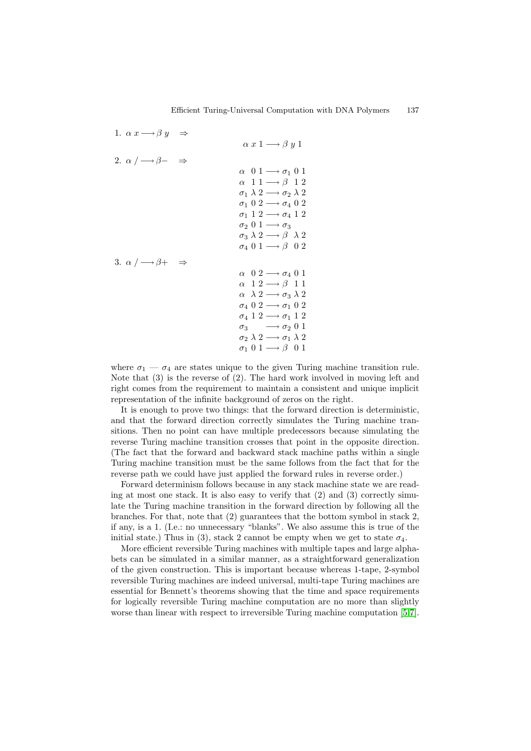| 1. $\alpha x \rightarrow \beta y \Rightarrow$           |                                                               |
|---------------------------------------------------------|---------------------------------------------------------------|
|                                                         | $\alpha x 1 \longrightarrow \beta y 1$                        |
| 2. $\alpha$ / $\longrightarrow$ $\beta$ $\Rightarrow$   |                                                               |
|                                                         | $\alpha$ 0 1 $\rightarrow \sigma_1$ 0 1                       |
|                                                         | $\alpha$ 11 $\rightarrow \beta$ 12                            |
|                                                         | $\sigma_1 \lambda 2 \longrightarrow \sigma_2 \lambda 2$       |
|                                                         | $\sigma_1$ 0 2 $\longrightarrow$ $\sigma_4$ 0 2               |
|                                                         | $\sigma_1$ 1 2 $\rightarrow$ $\sigma_4$ 1 2                   |
|                                                         | $\sigma_2$ 0 1 $\longrightarrow$ $\sigma_3$                   |
|                                                         | $\sigma_3 \lambda 2 \longrightarrow \beta \lambda 2$          |
|                                                         | $\sigma_4$ 0 1 $\longrightarrow$ $\beta$ 0 2                  |
| 3. $\alpha$ / $\longrightarrow$ $\beta$ + $\Rightarrow$ |                                                               |
|                                                         | $\alpha$ 02 $\rightarrow$ $\sigma$ <sub>4</sub> 01            |
|                                                         | $\alpha$ 12 $\longrightarrow$ 6 11                            |
|                                                         | $\alpha$ $\lambda$ 2 $\longrightarrow$ $\sigma_3$ $\lambda$ 2 |
|                                                         | $\sigma_4$ 0 2 $\longrightarrow$ $\sigma_1$ 0 2               |
|                                                         | $\sigma_4$ 1 2 $\longrightarrow$ $\sigma_1$ 1 2               |
|                                                         | $\sigma_3 \longrightarrow \sigma_2 01$                        |
|                                                         | $\sigma_2 \lambda 2 \longrightarrow \sigma_1 \lambda 2$       |
|                                                         | $\sigma_1$ 0 1 $\longrightarrow$ $\beta$ 0 1                  |

where  $\sigma_1 - \sigma_4$  are states unique to the given Turing machine transition rule. Note that (3) is the reverse of (2). The hard work involved in moving left and right comes from the requirement to maintain a consistent and unique implicit representation of the infinite background of zeros on the right.

It is enough to prove two things: that the forward direction is deterministic, and that the forward direction correctly simulates the Turing machine transitions. Then no point can have multiple predecessors because simulating the reverse Turing machine transition crosses that point in the opposite direction. (The fact that the forward and backward stack machine paths within a single Turing machine transition must be the same follows from the fact that for the reverse path we could have just applied the forward rules in reverse order.)

Forward determinism follows because in any stack machine state we are reading at most one stack. It is also easy to verify that  $(2)$  and  $(3)$  correctly simulate the Turing machine transition in the forward direction by following all the branches. For that, note that (2) guarantees that the bottom symbol in stack 2, if any, is a 1. (I.e.: no unnecessary "blanks". We also assume this is true of the initial state.) Thus in (3), stack 2 cannot be empty when we get to state  $\sigma_4$ .

More efficient reversible Turing machines with multiple tapes and large alphabets can be simulated in a similar manner, as a straightforward generalization of the given construction. This is important because whereas 1-tape, 2-symbol reversible Turing machines are indeed universal, multi-tape Turing machines are essential for Bennett's theorems showing that the time and space requirements for logically reversible Turing machine computation are no more than slightly worse than linear with respect to irreversible Turing machine computation [\[5,](#page-16-0)[7\]](#page-16-3).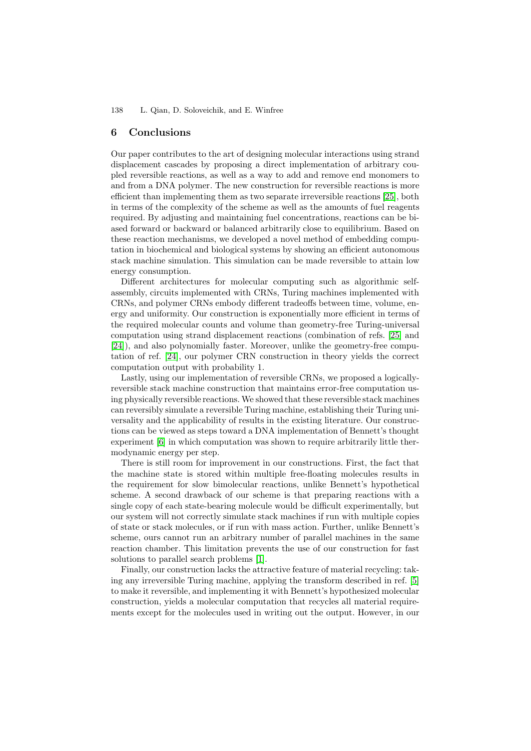## **6 Conclusions**

Our paper contributes to the art of designing molecular interactions using strand displacement cascades by proposing a direct implementation of arbitrary coupled reversible reactions, as well as a way to add and remove end monomers to and from a DNA polymer. The new construction for reversible reactions is more efficient than implementing them as two separate irreversible reactions [\[25\]](#page-17-9), both in terms of the complexity of the scheme as well as the amounts of fuel reagents required. By adjusting and maintaining fuel concentrations, reactions can be biased forward or backward or balanced arbitrarily close to equilibrium. Based on these reaction mechanisms, we developed a novel method of embedding computation in biochemical and biological systems by showing an efficient autonomous stack machine simulation. This simulation can be made reversible to attain low energy consumption.

Different architectures for molecular computing such as algorithmic selfassembly, circuits implemented with CRNs, Turing machines implemented with CRNs, and polymer CRNs embody different tradeoffs between time, volume, energy and uniformity. Our construction is exponentially more efficient in terms of the required molecular counts and volume than geometry-free Turing-universal computation using strand displacement reactions (combination of refs. [\[25\]](#page-17-9) and [\[24\]](#page-17-10)), and also polynomially faster. Moreover, unlike the geometry-free computation of ref. [\[24\]](#page-17-10), our polymer CRN construction in theory yields the correct computation output with probability 1.

Lastly, using our implementation of reversible CRNs, we proposed a logicallyreversible stack machine construction that maintains error-free computation using physically reversible reactions. We showed that these reversible stack machines can reversibly simulate a reversible Turing machine, establishing their Turing universality and the applicability of results in the existing literature. Our constructions can be viewed as steps toward a DNA implementation of Bennett's thought experiment [\[6\]](#page-16-1) in which computation was shown to require arbitrarily little thermodynamic energy per step.

There is still room for improvement in our constructions. First, the fact that the machine state is stored within multiple free-floating molecules results in the requirement for slow bimolecular reactions, unlike Bennett's hypothetical scheme. A second drawback of our scheme is that preparing reactions with a single copy of each state-bearing molecule would be difficult experimentally, but our system will not correctly simulate stack machines if run with multiple copies of state or stack molecules, or if run with mass action. Further, unlike Bennett's scheme, ours cannot run an arbitrary number of parallel machines in the same reaction chamber. This limitation prevents the use of our construction for fast solutions to parallel search problems [\[1\]](#page-16-4).

Finally, our construction lacks the attractive feature of material recycling: taking any irreversible Turing machine, applying the transform described in ref. [\[5\]](#page-16-0) to make it reversible, and implementing it with Bennett's hypothesized molecular construction, yields a molecular computation that recycles all material requirements except for the molecules used in writing out the output. However, in our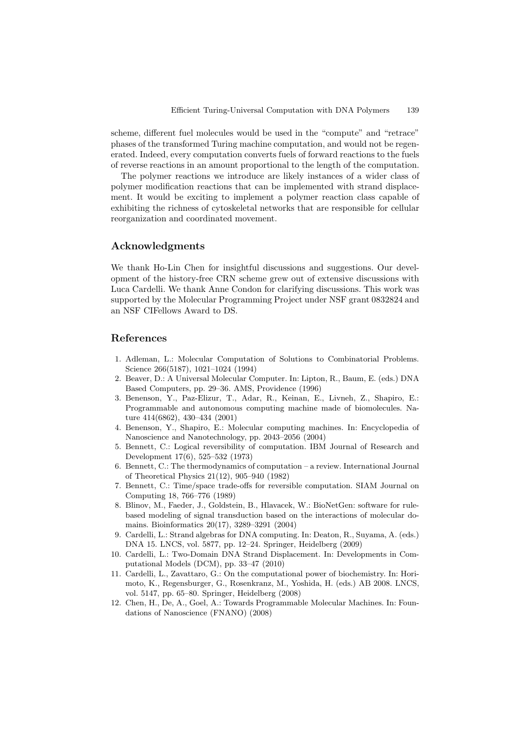scheme, different fuel molecules would be used in the "compute" and "retrace" phases of the transformed Turing machine computation, and would not be regenerated. Indeed, every computation converts fuels of forward reactions to the fuels of reverse reactions in an amount proportional to the length of the computation.

The polymer reactions we introduce are likely instances of a wider class of polymer modification reactions that can be implemented with strand displacement. It would be exciting to implement a polymer reaction class capable of exhibiting the richness of cytoskeletal networks that are responsible for cellular reorganization and coordinated movement.

## **Acknowledgments**

We thank Ho-Lin Chen for insightful discussions and suggestions. Our development of the history-free CRN scheme grew out of extensive discussions with Luca Cardelli. We thank Anne Condon for clarifying discussions. This work was supported by the Molecular Programming Project under NSF grant 0832824 and an NSF CIFellows Award to DS.

## <span id="page-16-2"></span>**References**

- <span id="page-16-4"></span>1. Adleman, L.: Molecular Computation of Solutions to Combinatorial Problems. Science 266(5187), 1021–1024 (1994)
- <span id="page-16-5"></span>2. Beaver, D.: A Universal Molecular Computer. In: Lipton, R., Baum, E. (eds.) DNA Based Computers, pp. 29–36. AMS, Providence (1996)
- <span id="page-16-9"></span>3. Benenson, Y., Paz-Elizur, T., Adar, R., Keinan, E., Livneh, Z., Shapiro, E.: Programmable and autonomous computing machine made of biomolecules. Nature 414(6862), 430–434 (2001)
- <span id="page-16-6"></span>4. Benenson, Y., Shapiro, E.: Molecular computing machines. In: Encyclopedia of Nanoscience and Nanotechnology, pp. 2043–2056 (2004)
- <span id="page-16-0"></span>5. Bennett, C.: Logical reversibility of computation. IBM Journal of Research and Development 17(6), 525–532 (1973)
- <span id="page-16-1"></span>6. Bennett, C.: The thermodynamics of computation – a review. International Journal of Theoretical Physics 21(12), 905–940 (1982)
- <span id="page-16-3"></span>7. Bennett, C.: Time/space trade-offs for reversible computation. SIAM Journal on Computing 18, 766–776 (1989)
- <span id="page-16-12"></span>8. Blinov, M., Faeder, J., Goldstein, B., Hlavacek, W.: BioNetGen: software for rulebased modeling of signal transduction based on the interactions of molecular domains. Bioinformatics 20(17), 3289–3291 (2004)
- <span id="page-16-11"></span>9. Cardelli, L.: Strand algebras for DNA computing. In: Deaton, R., Suyama, A. (eds.) DNA 15. LNCS, vol. 5877, pp. 12–24. Springer, Heidelberg (2009)
- <span id="page-16-10"></span>10. Cardelli, L.: Two-Domain DNA Strand Displacement. In: Developments in Computational Models (DCM), pp. 33–47 (2010)
- <span id="page-16-7"></span>11. Cardelli, L., Zavattaro, G.: On the computational power of biochemistry. In: Horimoto, K., Regensburger, G., Rosenkranz, M., Yoshida, H. (eds.) AB 2008. LNCS, vol. 5147, pp. 65–80. Springer, Heidelberg (2008)
- <span id="page-16-8"></span>12. Chen, H., De, A., Goel, A.: Towards Programmable Molecular Machines. In: Foundations of Nanoscience (FNANO) (2008)